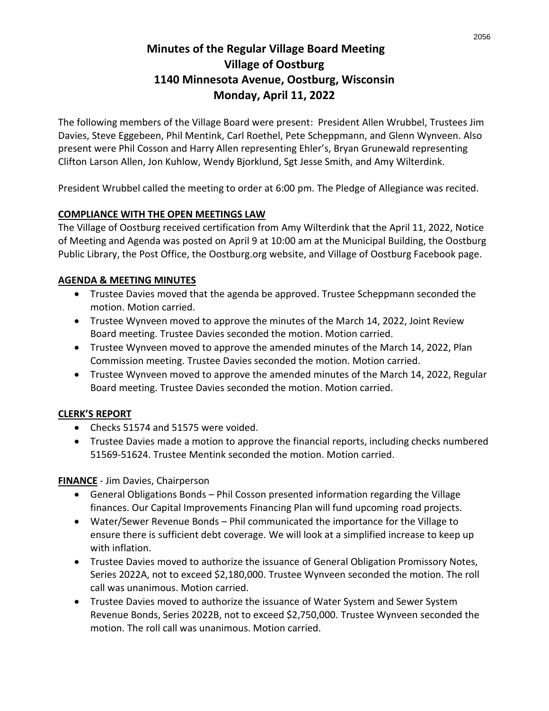# **Minutes of the Regular Village Board Meeting Village of Oostburg 1140 Minnesota Avenue, Oostburg, Wisconsin Monday, April 11, 2022**

The following members of the Village Board were present: President Allen Wrubbel, Trustees Jim Davies, Steve Eggebeen, Phil Mentink, Carl Roethel, Pete Scheppmann, and Glenn Wynveen. Also present were Phil Cosson and Harry Allen representing Ehler's, Bryan Grunewald representing Clifton Larson Allen, Jon Kuhlow, Wendy Bjorklund, Sgt Jesse Smith, and Amy Wilterdink.

President Wrubbel called the meeting to order at 6:00 pm. The Pledge of Allegiance was recited.

#### **COMPLIANCE WITH THE OPEN MEETINGS LAW**

The Village of Oostburg received certification from Amy Wilterdink that the April 11, 2022, Notice of Meeting and Agenda was posted on April 9 at 10:00 am at the Municipal Building, the Oostburg Public Library, the Post Office, the Oostburg.org website, and Village of Oostburg Facebook page.

#### **AGENDA & MEETING MINUTES**

- Trustee Davies moved that the agenda be approved. Trustee Scheppmann seconded the motion. Motion carried.
- Trustee Wynveen moved to approve the minutes of the March 14, 2022, Joint Review Board meeting. Trustee Davies seconded the motion. Motion carried.
- Trustee Wynveen moved to approve the amended minutes of the March 14, 2022, Plan Commission meeting. Trustee Davies seconded the motion. Motion carried.
- Trustee Wynveen moved to approve the amended minutes of the March 14, 2022, Regular Board meeting. Trustee Davies seconded the motion. Motion carried.

### **CLERK'S REPORT**

- Checks 51574 and 51575 were voided.
- Trustee Davies made a motion to approve the financial reports, including checks numbered 51569-51624. Trustee Mentink seconded the motion. Motion carried.

**FINANCE** - Jim Davies, Chairperson

- General Obligations Bonds Phil Cosson presented information regarding the Village finances. Our Capital Improvements Financing Plan will fund upcoming road projects.
- Water/Sewer Revenue Bonds Phil communicated the importance for the Village to ensure there is sufficient debt coverage. We will look at a simplified increase to keep up with inflation.
- Trustee Davies moved to authorize the issuance of General Obligation Promissory Notes, Series 2022A, not to exceed \$2,180,000. Trustee Wynveen seconded the motion. The roll call was unanimous. Motion carried.
- Trustee Davies moved to authorize the issuance of Water System and Sewer System Revenue Bonds, Series 2022B, not to exceed \$2,750,000. Trustee Wynveen seconded the motion. The roll call was unanimous. Motion carried.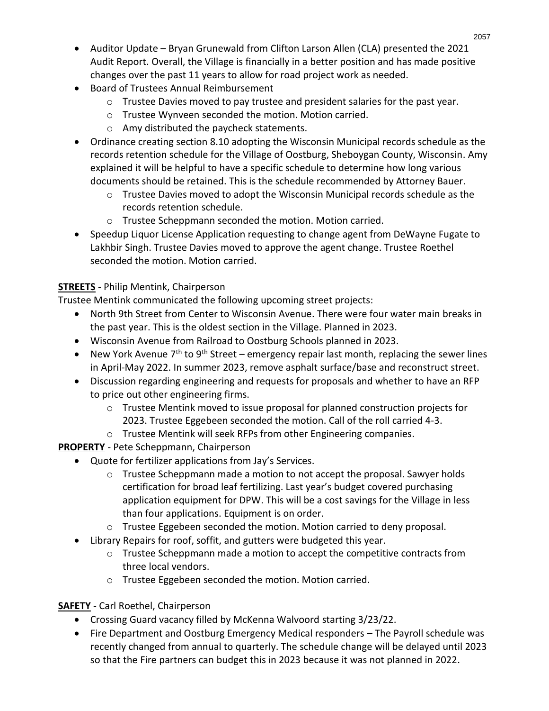- Auditor Update Bryan Grunewald from Clifton Larson Allen (CLA) presented the 2021 Audit Report. Overall, the Village is financially in a better position and has made positive changes over the past 11 years to allow for road project work as needed.
- Board of Trustees Annual Reimbursement
	- $\circ$  Trustee Davies moved to pay trustee and president salaries for the past year.
	- o Trustee Wynveen seconded the motion. Motion carried.
	- o Amy distributed the paycheck statements.
- Ordinance creating section 8.10 adopting the Wisconsin Municipal records schedule as the records retention schedule for the Village of Oostburg, Sheboygan County, Wisconsin. Amy explained it will be helpful to have a specific schedule to determine how long various documents should be retained. This is the schedule recommended by Attorney Bauer.
	- $\circ$  Trustee Davies moved to adopt the Wisconsin Municipal records schedule as the records retention schedule.
	- o Trustee Scheppmann seconded the motion. Motion carried.
- Speedup Liquor License Application requesting to change agent from DeWayne Fugate to Lakhbir Singh. Trustee Davies moved to approve the agent change. Trustee Roethel seconded the motion. Motion carried.

# **STREETS** - Philip Mentink, Chairperson

Trustee Mentink communicated the following upcoming street projects:

- North 9th Street from Center to Wisconsin Avenue. There were four water main breaks in the past year. This is the oldest section in the Village. Planned in 2023.
- Wisconsin Avenue from Railroad to Oostburg Schools planned in 2023.
- New York Avenue  $7<sup>th</sup>$  to 9<sup>th</sup> Street emergency repair last month, replacing the sewer lines in April-May 2022. In summer 2023, remove asphalt surface/base and reconstruct street.
- Discussion regarding engineering and requests for proposals and whether to have an RFP to price out other engineering firms.
	- $\circ$  Trustee Mentink moved to issue proposal for planned construction projects for 2023. Trustee Eggebeen seconded the motion. Call of the roll carried 4-3.
	- o Trustee Mentink will seek RFPs from other Engineering companies.

**PROPERTY** - Pete Scheppmann, Chairperson

- Quote for fertilizer applications from Jay's Services.
	- o Trustee Scheppmann made a motion to not accept the proposal. Sawyer holds certification for broad leaf fertilizing. Last year's budget covered purchasing application equipment for DPW. This will be a cost savings for the Village in less than four applications. Equipment is on order.
	- $\circ$  Trustee Eggebeen seconded the motion. Motion carried to deny proposal.
- Library Repairs for roof, soffit, and gutters were budgeted this year.
	- $\circ$  Trustee Scheppmann made a motion to accept the competitive contracts from three local vendors.
	- o Trustee Eggebeen seconded the motion. Motion carried.

# **SAFETY** - Carl Roethel, Chairperson

- Crossing Guard vacancy filled by McKenna Walvoord starting 3/23/22.
- Fire Department and Oostburg Emergency Medical responders The Payroll schedule was recently changed from annual to quarterly. The schedule change will be delayed until 2023 so that the Fire partners can budget this in 2023 because it was not planned in 2022.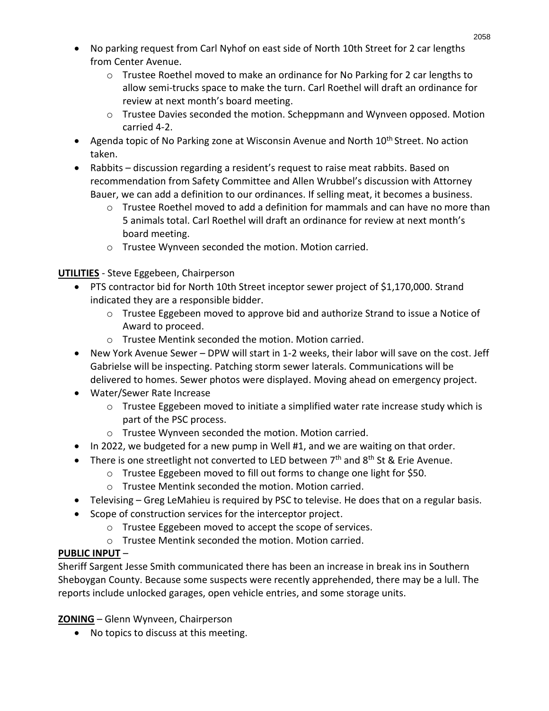- No parking request from Carl Nyhof on east side of North 10th Street for 2 car lengths from Center Avenue.
	- $\circ$  Trustee Roethel moved to make an ordinance for No Parking for 2 car lengths to allow semi-trucks space to make the turn. Carl Roethel will draft an ordinance for review at next month's board meeting.
	- $\circ$  Trustee Davies seconded the motion. Scheppmann and Wynveen opposed. Motion carried 4-2.
- Agenda topic of No Parking zone at Wisconsin Avenue and North 10<sup>th</sup> Street. No action taken.
- Rabbits discussion regarding a resident's request to raise meat rabbits. Based on recommendation from Safety Committee and Allen Wrubbel's discussion with Attorney Bauer, we can add a definition to our ordinances. If selling meat, it becomes a business.
	- $\circ$  Trustee Roethel moved to add a definition for mammals and can have no more than 5 animals total. Carl Roethel will draft an ordinance for review at next month's board meeting.
	- o Trustee Wynveen seconded the motion. Motion carried.

**UTILITIES** - Steve Eggebeen, Chairperson

- PTS contractor bid for North 10th Street inceptor sewer project of \$1,170,000. Strand indicated they are a responsible bidder.
	- $\circ$  Trustee Eggebeen moved to approve bid and authorize Strand to issue a Notice of Award to proceed.
	- o Trustee Mentink seconded the motion. Motion carried.
- New York Avenue Sewer DPW will start in 1-2 weeks, their labor will save on the cost. Jeff Gabrielse will be inspecting. Patching storm sewer laterals. Communications will be delivered to homes. Sewer photos were displayed. Moving ahead on emergency project.
- Water/Sewer Rate Increase
	- $\circ$  Trustee Eggebeen moved to initiate a simplified water rate increase study which is part of the PSC process.
	- o Trustee Wynveen seconded the motion. Motion carried.
- In 2022, we budgeted for a new pump in Well #1, and we are waiting on that order.
- There is one streetlight not converted to LED between  $7<sup>th</sup>$  and  $8<sup>th</sup>$  St & Erie Avenue.
	- o Trustee Eggebeen moved to fill out forms to change one light for \$50.
	- o Trustee Mentink seconded the motion. Motion carried.
- Televising Greg LeMahieu is required by PSC to televise. He does that on a regular basis.
- Scope of construction services for the interceptor project.
	- o Trustee Eggebeen moved to accept the scope of services.
	- o Trustee Mentink seconded the motion. Motion carried.

### **PUBLIC INPUT** –

Sheriff Sargent Jesse Smith communicated there has been an increase in break ins in Southern Sheboygan County. Because some suspects were recently apprehended, there may be a lull. The reports include unlocked garages, open vehicle entries, and some storage units.

**ZONING** – Glenn Wynveen, Chairperson

• No topics to discuss at this meeting.